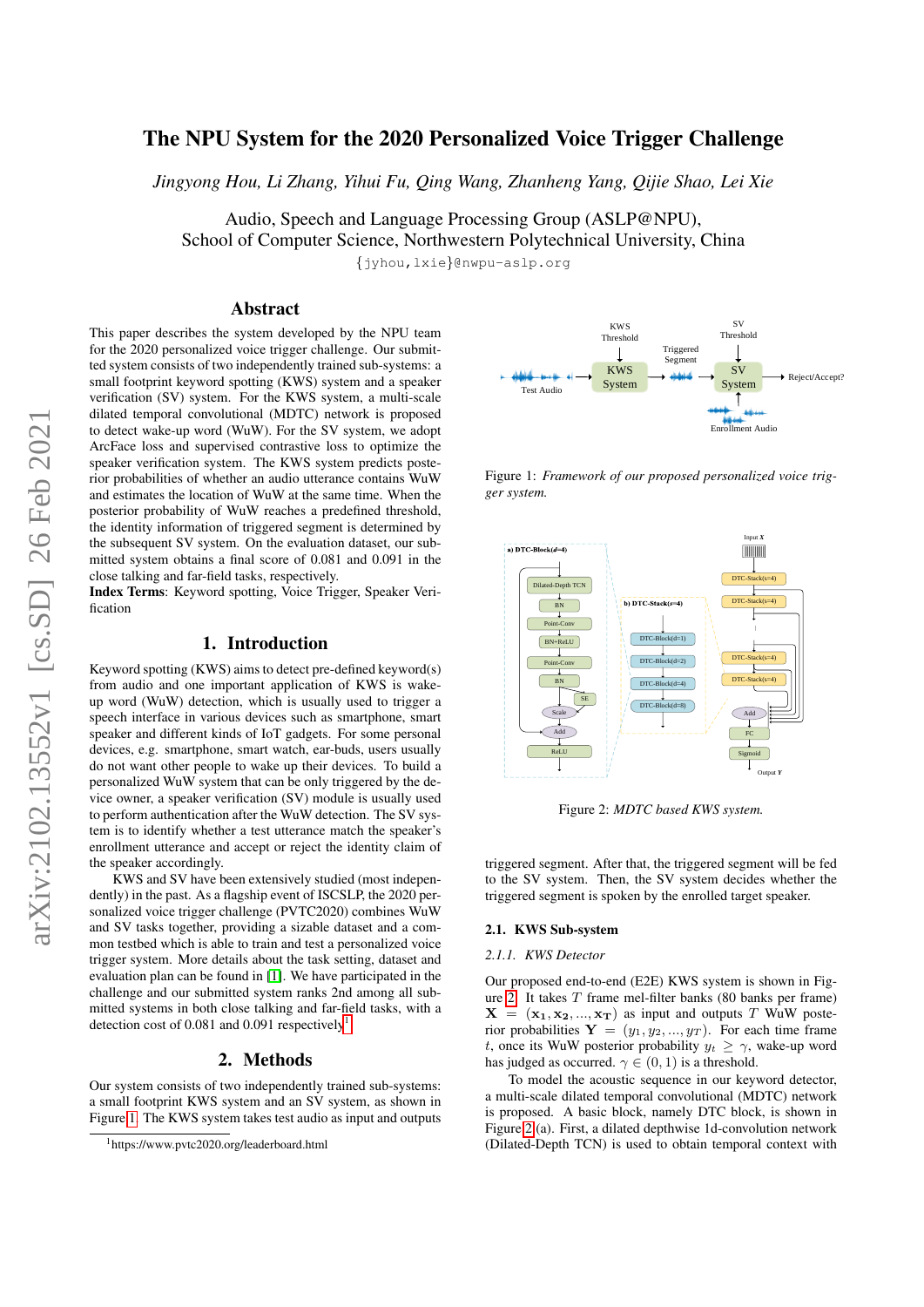# The NPU System for the 2020 Personalized Voice Trigger Challenge

*Jingyong Hou, Li Zhang, Yihui Fu, Qing Wang, Zhanheng Yang, Qijie Shao, Lei Xie*

Audio, Speech and Language Processing Group (ASLP@NPU), School of Computer Science, Northwestern Polytechnical University, China

{jyhou,lxie}@nwpu-aslp.org

# Abstract

This paper describes the system developed by the NPU team for the 2020 personalized voice trigger challenge. Our submitted system consists of two independently trained sub-systems: a small footprint keyword spotting (KWS) system and a speaker verification (SV) system. For the KWS system, a multi-scale dilated temporal convolutional (MDTC) network is proposed to detect wake-up word (WuW). For the SV system, we adopt ArcFace loss and supervised contrastive loss to optimize the speaker verification system. The KWS system predicts posterior probabilities of whether an audio utterance contains WuW and estimates the location of WuW at the same time. When the posterior probability of WuW reaches a predefined threshold, the identity information of triggered segment is determined by the subsequent SV system. On the evaluation dataset, our submitted system obtains a final score of 0.081 and 0.091 in the close talking and far-field tasks, respectively. System consists of Working-Phillip (KWS) system and a speaker<br>
information (SV) system and a speaker<br>
throation (SV) system and a speaker<br>
throation (SV) system and a speaker<br>
throation (SV) system and a speaker<br>
throatio

Index Terms: Keyword spotting, Voice Trigger, Speaker Verification

# 1. Introduction

Keyword spotting (KWS) aims to detect pre-defined keyword(s) from audio and one important application of KWS is wakeup word (WuW) detection, which is usually used to trigger a speech interface in various devices such as smartphone, smart speaker and different kinds of IoT gadgets. For some personal devices, e.g. smartphone, smart watch, ear-buds, users usually do not want other people to wake up their devices. To build a personalized WuW system that can be only triggered by the device owner, a speaker verification (SV) module is usually used to perform authentication after the WuW detection. The SV system is to identify whether a test utterance match the speaker's enrollment utterance and accept or reject the identity claim of the speaker accordingly.

KWS and SV have been extensively studied (most independently) in the past. As a flagship event of ISCSLP, the 2020 personalized voice trigger challenge (PVTC2020) combines WuW and SV tasks together, providing a sizable dataset and a common testbed which is able to train and test a personalized voice trigger system. More details about the task setting, dataset and evaluation plan can be found in [\[1\]](#page-3-0). We have participated in the challenge and our submitted system ranks 2nd among all submitted systems in both close talking and far-field tasks, with a detection cost of 0.08[1](#page-0-0) and 0.091 respectively<sup>1</sup>.

# 2. Methods

Our system consists of two independently trained sub-systems: a small footprint KWS system and an SV system, as shown in Figure [1.](#page-0-1) The KWS system takes test audio as input and outputs

<span id="page-0-1"></span>

Figure 1: *Framework of our proposed personalized voice trigger system.*

<span id="page-0-2"></span>

Figure 2: *MDTC based KWS system.*

triggered segment. After that, the triggered segment will be fed to the SV system. Then, the SV system decides whether the triggered segment is spoken by the enrolled target speaker.

# 2.1. KWS Sub-system

### *2.1.1. KWS Detector*

Our proposed end-to-end (E2E) KWS system is shown in Fig-ure [2.](#page-0-2) It takes  $T$  frame mel-filter banks (80 banks per frame)  $X = (x_1, x_2, ..., x_T)$  as input and outputs T WuW posterior probabilities  $Y = (y_1, y_2, ..., y_T)$ . For each time frame t, once its WuW posterior probability  $y_t \geq \gamma$ , wake-up word has judged as occurred.  $\gamma \in (0, 1)$  is a threshold.

To model the acoustic sequence in our keyword detector, a multi-scale dilated temporal convolutional (MDTC) network is proposed. A basic block, namely DTC block, is shown in Figure [2](#page-0-2) (a). First, a dilated depthwise 1d-convolution network (Dilated-Depth TCN) is used to obtain temporal context with

<span id="page-0-0"></span>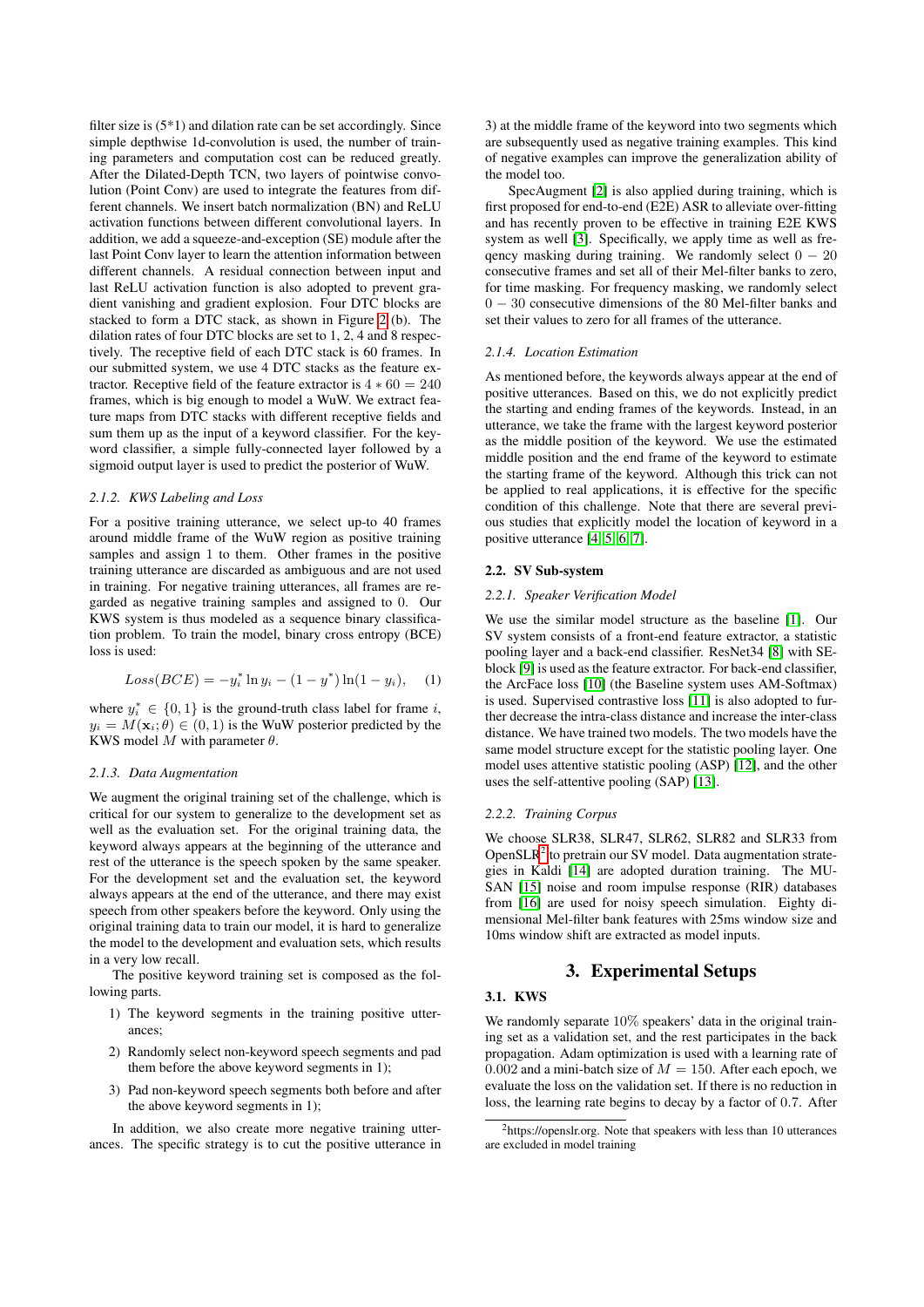filter size is (5\*1) and dilation rate can be set accordingly. Since simple depthwise 1d-convolution is used, the number of training parameters and computation cost can be reduced greatly. After the Dilated-Depth TCN, two layers of pointwise convolution (Point Conv) are used to integrate the features from different channels. We insert batch normalization (BN) and ReLU activation functions between different convolutional layers. In addition, we add a squeeze-and-exception (SE) module after the last Point Conv layer to learn the attention information between different channels. A residual connection between input and last ReLU activation function is also adopted to prevent gradient vanishing and gradient explosion. Four DTC blocks are stacked to form a DTC stack, as shown in Figure [2](#page-0-2) (b). The dilation rates of four DTC blocks are set to 1, 2, 4 and 8 respectively. The receptive field of each DTC stack is 60 frames. In our submitted system, we use 4 DTC stacks as the feature extractor. Receptive field of the feature extractor is  $4 * 60 = 240$ frames, which is big enough to model a WuW. We extract feature maps from DTC stacks with different receptive fields and sum them up as the input of a keyword classifier. For the keyword classifier, a simple fully-connected layer followed by a sigmoid output layer is used to predict the posterior of WuW.

### *2.1.2. KWS Labeling and Loss*

For a positive training utterance, we select up-to 40 frames around middle frame of the WuW region as positive training samples and assign 1 to them. Other frames in the positive training utterance are discarded as ambiguous and are not used in training. For negative training utterances, all frames are regarded as negative training samples and assigned to 0. Our KWS system is thus modeled as a sequence binary classification problem. To train the model, binary cross entropy (BCE) loss is used:

$$
Loss(BCE) = -y_i^* \ln y_i - (1 - y^*) \ln(1 - y_i), \quad (1)
$$

where  $y_i^* \in \{0, 1\}$  is the ground-truth class label for frame i,  $y_i = M(\mathbf{x}_i; \theta) \in (0, 1)$  is the WuW posterior predicted by the KWS model  $M$  with parameter  $\theta$ .

#### *2.1.3. Data Augmentation*

We augment the original training set of the challenge, which is critical for our system to generalize to the development set as well as the evaluation set. For the original training data, the keyword always appears at the beginning of the utterance and rest of the utterance is the speech spoken by the same speaker. For the development set and the evaluation set, the keyword always appears at the end of the utterance, and there may exist speech from other speakers before the keyword. Only using the original training data to train our model, it is hard to generalize the model to the development and evaluation sets, which results in a very low recall.

The positive keyword training set is composed as the following parts.

- 1) The keyword segments in the training positive utterances;
- 2) Randomly select non-keyword speech segments and pad them before the above keyword segments in 1);
- 3) Pad non-keyword speech segments both before and after the above keyword segments in 1);

In addition, we also create more negative training utterances. The specific strategy is to cut the positive utterance in 3) at the middle frame of the keyword into two segments which are subsequently used as negative training examples. This kind of negative examples can improve the generalization ability of the model too.

SpecAugment [\[2\]](#page-3-1) is also applied during training, which is first proposed for end-to-end (E2E) ASR to alleviate over-fitting and has recently proven to be effective in training E2E KWS system as well [\[3\]](#page-3-2). Specifically, we apply time as well as freqency masking during training. We randomly select  $0 - 20$ consecutive frames and set all of their Mel-filter banks to zero, for time masking. For frequency masking, we randomly select 0 − 30 consecutive dimensions of the 80 Mel-filter banks and set their values to zero for all frames of the utterance.

### *2.1.4. Location Estimation*

As mentioned before, the keywords always appear at the end of positive utterances. Based on this, we do not explicitly predict the starting and ending frames of the keywords. Instead, in an utterance, we take the frame with the largest keyword posterior as the middle position of the keyword. We use the estimated middle position and the end frame of the keyword to estimate the starting frame of the keyword. Although this trick can not be applied to real applications, it is effective for the specific condition of this challenge. Note that there are several previous studies that explicitly model the location of keyword in a positive utterance [\[4,](#page-3-3) [5,](#page-3-4) [6,](#page-3-5) [7\]](#page-3-6).

### 2.2. SV Sub-system

### <span id="page-1-1"></span>*2.2.1. Speaker Verification Model*

We use the similar model structure as the baseline [\[1\]](#page-3-0). Our SV system consists of a front-end feature extractor, a statistic pooling layer and a back-end classifier. ResNet34 [\[8\]](#page-3-7) with SEblock [\[9\]](#page-3-8) is used as the feature extractor. For back-end classifier, the ArcFace loss [\[10\]](#page-3-9) (the Baseline system uses AM-Softmax) is used. Supervised contrastive loss [\[11\]](#page-3-10) is also adopted to further decrease the intra-class distance and increase the inter-class distance. We have trained two models. The two models have the same model structure except for the statistic pooling layer. One model uses attentive statistic pooling (ASP) [\[12\]](#page-3-11), and the other uses the self-attentive pooling (SAP) [\[13\]](#page-3-12).

### *2.2.2. Training Corpus*

We choose SLR38, SLR47, SLR62, SLR82 and SLR33 from Open $SLR<sup>2</sup>$  $SLR<sup>2</sup>$  $SLR<sup>2</sup>$  to pretrain our SV model. Data augmentation strategies in Kaldi [\[14\]](#page-3-13) are adopted duration training. The MU-SAN [\[15\]](#page-3-14) noise and room impulse response (RIR) databases from [\[16\]](#page-3-15) are used for noisy speech simulation. Eighty dimensional Mel-filter bank features with 25ms window size and 10ms window shift are extracted as model inputs.

# 3. Experimental Setups

### 3.1. KWS

We randomly separate 10% speakers' data in the original training set as a validation set, and the rest participates in the back propagation. Adam optimization is used with a learning rate of 0.002 and a mini-batch size of  $M = 150$ . After each epoch, we evaluate the loss on the validation set. If there is no reduction in loss, the learning rate begins to decay by a factor of 0.7. After

<span id="page-1-0"></span><sup>2</sup>https://openslr.org. Note that speakers with less than 10 utterances are excluded in model training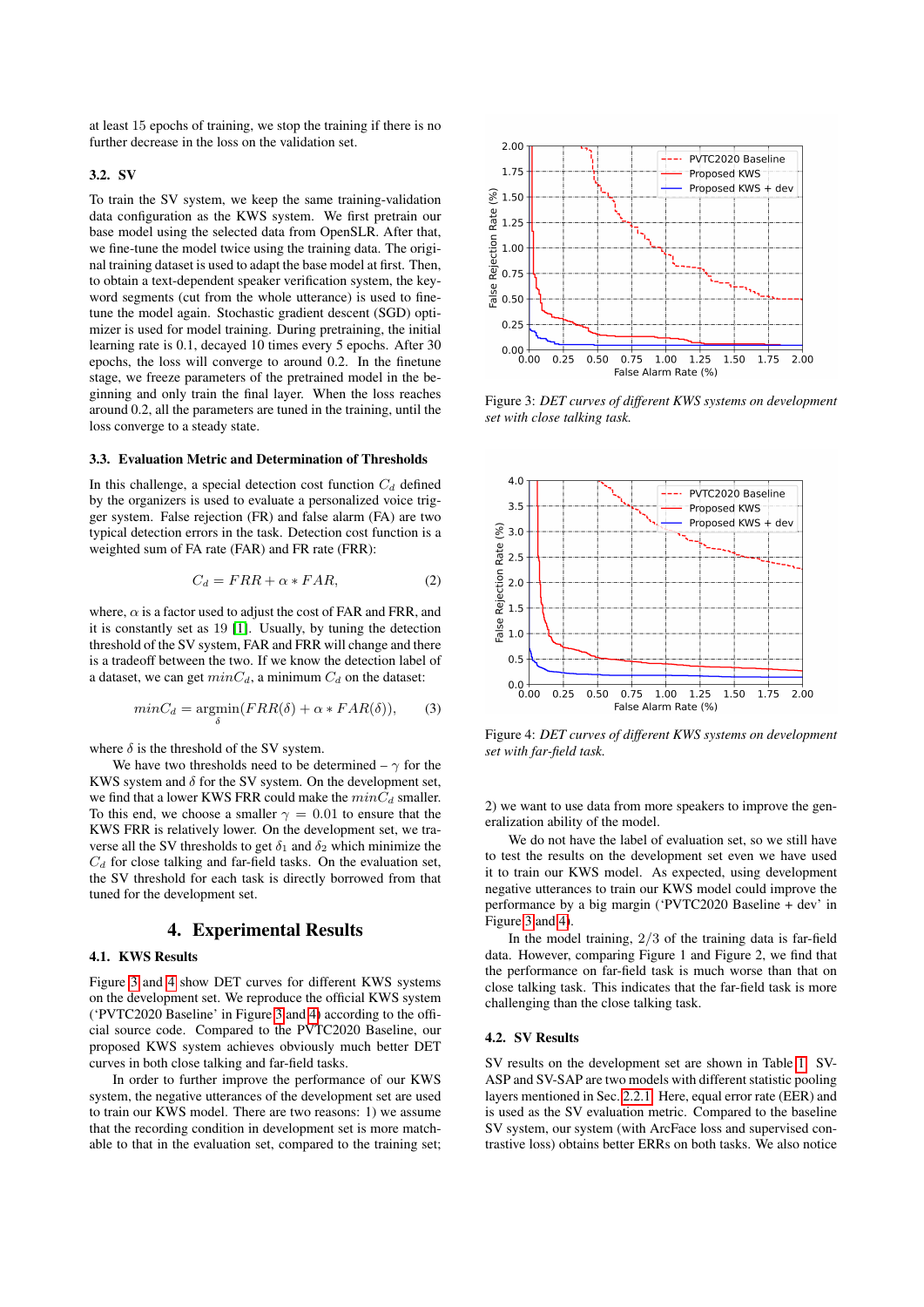at least 15 epochs of training, we stop the training if there is no further decrease in the loss on the validation set.

### 3.2. SV

To train the SV system, we keep the same training-validation data configuration as the KWS system. We first pretrain our base model using the selected data from OpenSLR. After that, we fine-tune the model twice using the training data. The original training dataset is used to adapt the base model at first. Then, to obtain a text-dependent speaker verification system, the keyword segments (cut from the whole utterance) is used to finetune the model again. Stochastic gradient descent (SGD) optimizer is used for model training. During pretraining, the initial learning rate is 0.1, decayed 10 times every 5 epochs. After 30 epochs, the loss will converge to around 0.2. In the finetune stage, we freeze parameters of the pretrained model in the beginning and only train the final layer. When the loss reaches around 0.2, all the parameters are tuned in the training, until the loss converge to a steady state.

#### 3.3. Evaluation Metric and Determination of Thresholds

In this challenge, a special detection cost function  $C_d$  defined by the organizers is used to evaluate a personalized voice trigger system. False rejection (FR) and false alarm (FA) are two typical detection errors in the task. Detection cost function is a weighted sum of FA rate (FAR) and FR rate (FRR):

$$
C_d = FRR + \alpha * FAR,
$$
 (2)

where,  $\alpha$  is a factor used to adjust the cost of FAR and FRR, and it is constantly set as 19 [\[1\]](#page-3-0). Usually, by tuning the detection threshold of the SV system, FAR and FRR will change and there is a tradeoff between the two. If we know the detection label of a dataset, we can get  $minC_d$ , a minimum  $C_d$  on the dataset:

$$
minC_d = \underset{\delta}{\text{argmin}}(FRR(\delta) + \alpha * FAR(\delta)), \qquad (3)
$$

where  $\delta$  is the threshold of the SV system.

We have two thresholds need to be determined –  $\gamma$  for the KWS system and  $\delta$  for the SV system. On the development set, we find that a lower KWS FRR could make the  $min\bar{C}_d$  smaller. To this end, we choose a smaller  $\gamma = 0.01$  to ensure that the KWS FRR is relatively lower. On the development set, we traverse all the SV thresholds to get  $\delta_1$  and  $\delta_2$  which minimize the  $C_d$  for close talking and far-field tasks. On the evaluation set, the SV threshold for each task is directly borrowed from that tuned for the development set.

# 4. Experimental Results

# 4.1. KWS Results

Figure [3](#page-2-0) and [4](#page-2-1) show DET curves for different KWS systems on the development set. We reproduce the official KWS system ('PVTC2020 Baseline' in Figure [3](#page-2-0) and [4\)](#page-2-1) according to the official source code. Compared to the PVTC2020 Baseline, our proposed KWS system achieves obviously much better DET curves in both close talking and far-field tasks.

In order to further improve the performance of our KWS system, the negative utterances of the development set are used to train our KWS model. There are two reasons: 1) we assume that the recording condition in development set is more matchable to that in the evaluation set, compared to the training set;

<span id="page-2-0"></span>

Figure 3: *DET curves of different KWS systems on development set with close talking task.*

<span id="page-2-1"></span>

Figure 4: *DET curves of different KWS systems on development set with far-field task.*

2) we want to use data from more speakers to improve the generalization ability of the model.

We do not have the label of evaluation set, so we still have to test the results on the development set even we have used it to train our KWS model. As expected, using development negative utterances to train our KWS model could improve the performance by a big margin ('PVTC2020 Baseline + dev' in Figure [3](#page-2-0) and [4\)](#page-2-1).

In the model training,  $2/3$  of the training data is far-field data. However, comparing Figure 1 and Figure 2, we find that the performance on far-field task is much worse than that on close talking task. This indicates that the far-field task is more challenging than the close talking task.

### 4.2. SV Results

SV results on the development set are shown in Table [1.](#page-3-16) SV-ASP and SV-SAP are two models with different statistic pooling layers mentioned in Sec. [2.2.1.](#page-1-1) Here, equal error rate (EER) and is used as the SV evaluation metric. Compared to the baseline SV system, our system (with ArcFace loss and supervised contrastive loss) obtains better ERRs on both tasks. We also notice